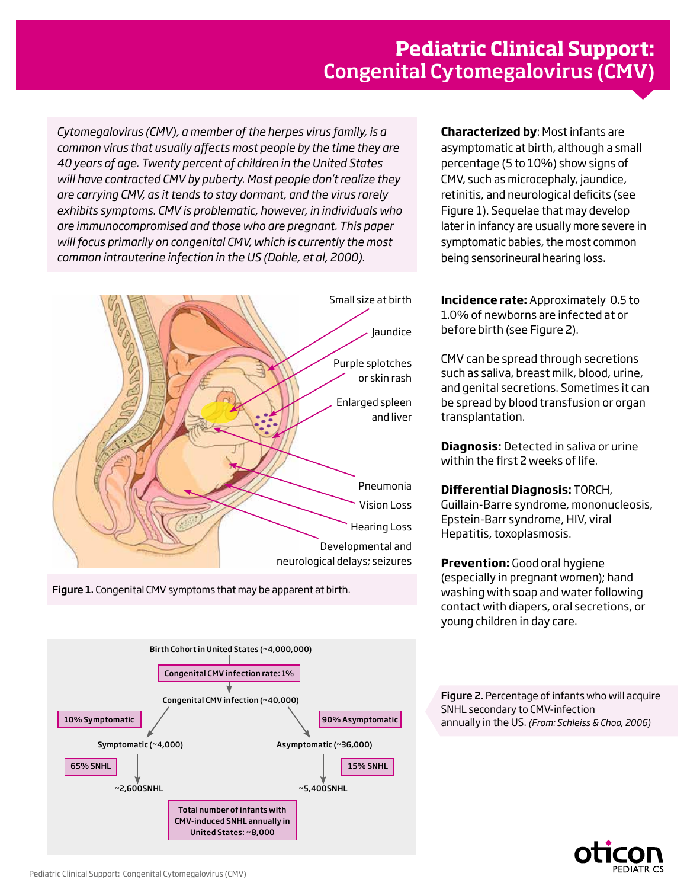*Cytomegalovirus (CMV), a member of the herpes virus family, is a common virus that usually affects most people by the time they are 40 years of age. Twenty percent of children in the United States will have contracted CMV by puberty. Most people don't realize they are carrying CMV, as it tends to stay dormant, and the virus rarely exhibits symptoms. CMV is problematic, however, in individuals who are immunocompromised and those who are pregnant. This paper will focus primarily on congenital CMV, which is currently the most common intrauterine infection in the US (Dahle, et al, 2000).*



Figure 1. Congenital CMV symptoms that may be apparent at birth.

**Characterized by**: Most infants are asymptomatic at birth, although a small percentage (5 to 10%) show signs of CMV, such as microcephaly, jaundice, retinitis, and neurological deficits (see Figure 1). Sequelae that may develop later in infancy are usually more severe in symptomatic babies, the most common being sensorineural hearing loss.

**Incidence rate:** Approximately 0.5 to 1.0% of newborns are infected at or before birth (see Figure 2).

CMV can be spread through secretions such as saliva, breast milk, blood, urine, and genital secretions. Sometimes it can be spread by blood transfusion or organ transplantation.

**Diagnosis:** Detected in saliva or urine within the first 2 weeks of life.

## **Differential Diagnosis:** TORCH,

Guillain-Barre syndrome, mononucleosis, Epstein-Barr syndrome, HIV, viral Hepatitis, toxoplasmosis.

**Prevention:** Good oral hygiene (especially in pregnant women); hand washing with soap and water following contact with diapers, oral secretions, or young children in day care.

Figure 2. Percentage of infants who will acquire SNHL secondary to CMV-infection annually in the US. *(From: Schleiss & Choo, 2006)*